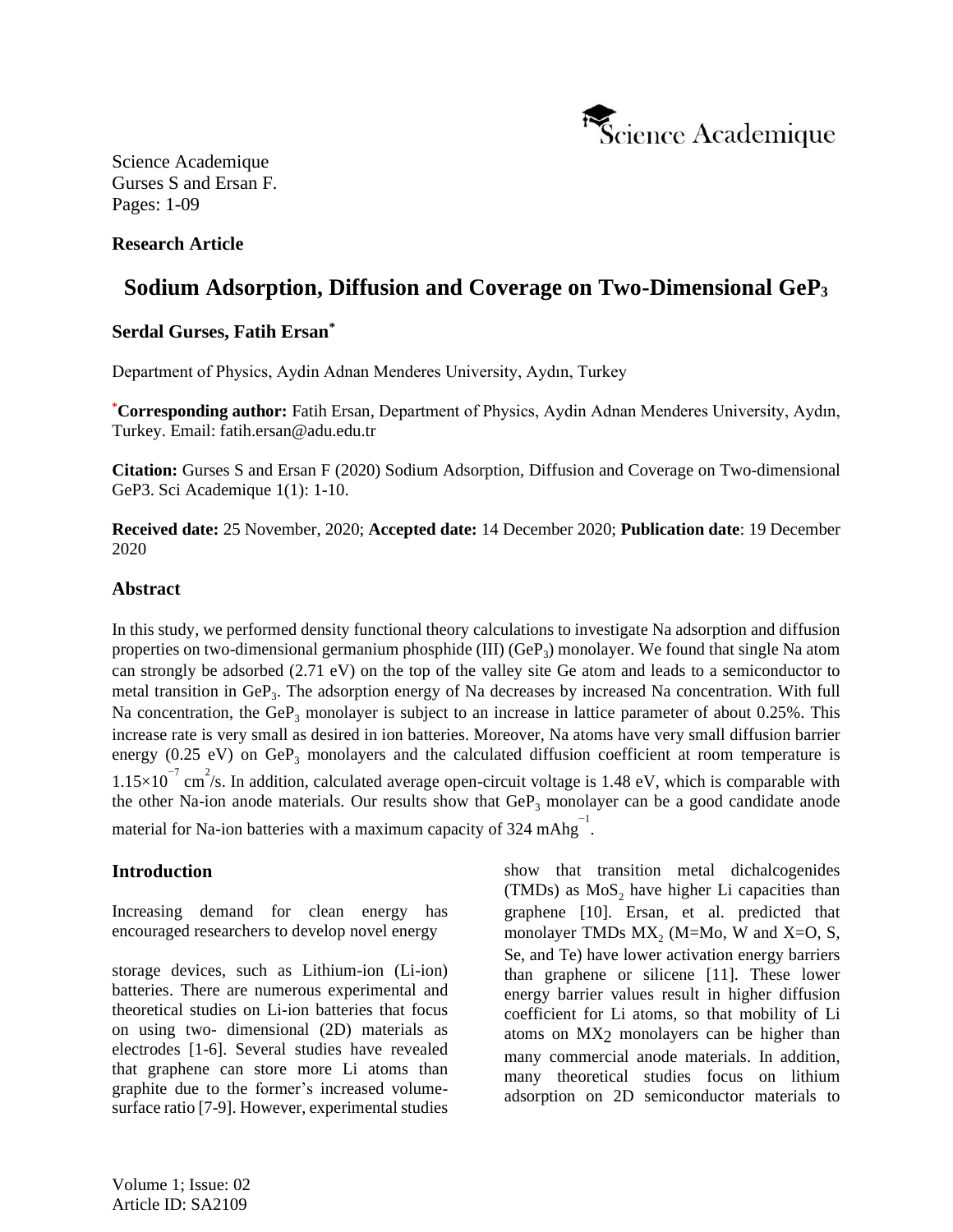

# **Research Article**

# **Sodium Adsorption, Diffusion and Coverage on Two-Dimensional GeP<sup>3</sup>**

## **Serdal Gurses, Fatih Ersan\***

Department of Physics, Aydin Adnan Menderes University, Aydın, Turkey

**\*Corresponding author:** Fatih Ersan, Department of Physics, Aydin Adnan Menderes University, Aydın, Turkey. Email: fatih.ersan@adu.edu.tr

**Citation:** Gurses S and Ersan F (2020) Sodium Adsorption, Diffusion and Coverage on Two-dimensional GeP3. Sci Academique 1(1): 1-10.

**Received date:** 25 November, 2020; **Accepted date:** 14 December 2020; **Publication date**: 19 December 2020

#### **Abstract**

In this study, we performed density functional theory calculations to investigate Na adsorption and diffusion properties on two-dimensional germanium phosphide (III) (GeP<sub>3</sub>) monolayer. We found that single Na atom can strongly be adsorbed (2.71 eV) on the top of the valley site Ge atom and leads to a semiconductor to metal transition in GeP<sub>3</sub>. The adsorption energy of Na decreases by increased Na concentration. With full Na concentration, the GeP<sub>3</sub> monolayer is subject to an increase in lattice parameter of about 0.25%. This increase rate is very small as desired in ion batteries. Moreover, Na atoms have very small diffusion barrier energy (0.25 eV) on  $GeP_3$  monolayers and the calculated diffusion coefficient at room temperature is  $1.15 \times 10^{-7}$  cm<sup>2</sup>/s. In addition, calculated average open-circuit voltage is 1.48 eV, which is comparable with the other Na-ion anode materials. Our results show that  $\text{GeP}_3$  monolayer can be a good candidate anode material for Na-ion batteries with a maximum capacity of  $324 \text{ mAhg}^{-1}$ .

## **Introduction**

Increasing demand for clean energy has encouraged researchers to develop novel energy

storage devices, such as Lithium-ion (Li-ion) batteries. There are numerous experimental and theoretical studies on Li-ion batteries that focus on using two- dimensional (2D) materials as electrodes [1-6]. Several studies have revealed that graphene can store more Li atoms than graphite due to the former's increased volumesurface ratio [7-9]. However, experimental studies show that transition metal dichalcogenides (TMDs) as  $MoS_2$  have higher Li capacities than graphene [10]. Ersan, et al. predicted that monolayer TMDs  $MX_2$  (M=Mo, W and X=O, S, Se, and Te) have lower activation energy barriers than graphene or silicene [11]. These lower energy barrier values result in higher diffusion coefficient for Li atoms, so that mobility of Li atoms on MX2 monolayers can be higher than many commercial anode materials. In addition, many theoretical studies focus on lithium adsorption on 2D semiconductor materials to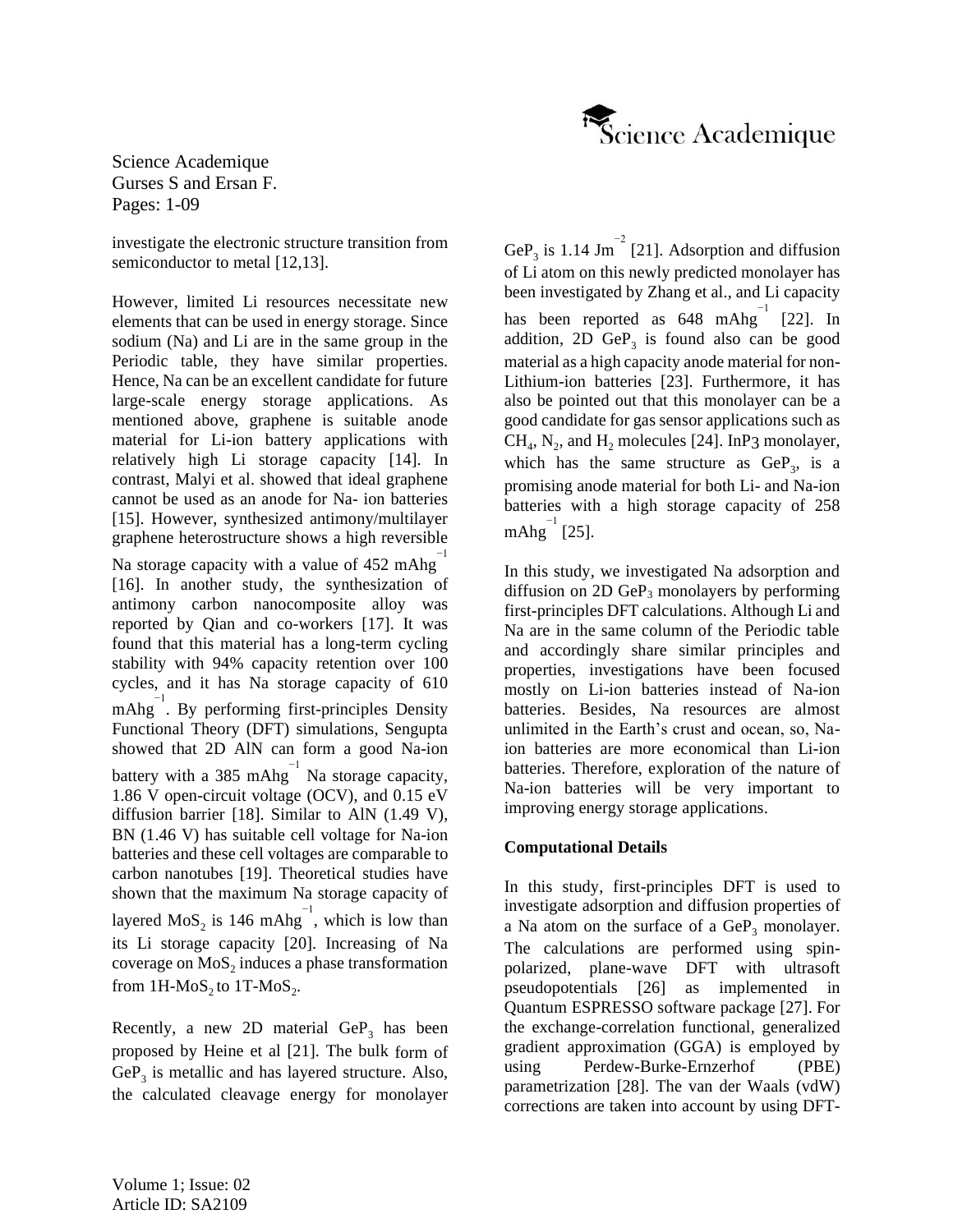

investigate the electronic structure transition from semiconductor to metal [12,13].

However, limited Li resources necessitate new elements that can be used in energy storage. Since sodium (Na) and Li are in the same group in the Periodic table, they have similar properties. Hence, Na can be an excellent candidate for future large-scale energy storage applications. As mentioned above, graphene is suitable anode material for Li-ion battery applications with relatively high Li storage capacity [14]. In contrast, Malyi et al. showed that ideal graphene cannot be used as an anode for Na- ion batteries [15]. However, synthesized antimony/multilayer graphene heterostructure shows a high reversible

Na storage capacity with a value of 452 mAhg $^{-1}$ [16]. In another study, the synthesization of antimony carbon nanocomposite alloy was reported by Qian and co-workers [17]. It was found that this material has a long-term cycling stability with 94% capacity retention over 100 cycles, and it has Na storage capacity of 610  $mAbg^{-1}$ . By performing first-principles Density Functional Theory (DFT) simulations, Sengupta showed that 2D AlN can form a good Na-ion battery with a 385 mAhg $^{-1}$  Na storage capacity, 1.86 V open-circuit voltage (OCV), and 0.15 eV diffusion barrier [18]. Similar to AlN (1.49 V), BN (1.46 V) has suitable cell voltage for Na-ion batteries and these cell voltages are comparable to carbon nanotubes [19]. Theoretical studies have shown that the maximum Na storage capacity of layered  $\text{MoS}_2$  is 146 mAhg<sup>-1</sup>, which is low than its Li storage capacity [20]. Increasing of Na coverage on  $\mathrm{MoS}_{2}$  induces a phase transformation from  $1H\text{-MoS}_2$  to  $1T\text{-MoS}_2$ .

Recently, a new 2D material  $\text{GeP}_3$  has been proposed by Heine et al [21]. The bulk form of  $\text{GeP}_3$  is metallic and has layered structure. Also, the calculated cleavage energy for monolayer

GeP<sub>3</sub> is 1.14 Jm<sup>-2</sup> [21]. Adsorption and diffusion of Li atom on this newly predicted monolayer has been investigated by Zhang et al., and Li capacity has been reported as  $648 \text{ mAhg}^{-1}$  [22]. In addition,  $2D \text{ GeP}_3$  is found also can be good material as a high capacity anode material for non-Lithium-ion batteries [23]. Furthermore, it has also be pointed out that this monolayer can be a good candidate for gas sensor applications such as  $CH_4$ ,  $N_2$ , and  $H_2$  molecules [24]. InP3 monolayer, which has the same structure as  $GeP_3$ , is a promising anode material for both Li- and Na-ion batteries with a high storage capacity of 258  $\mathrm{mAhg}^{-1}$  [25].

In this study, we investigated Na adsorption and diffusion on  $2D \text{ GeP}_3$  monolayers by performing first-principles DFT calculations. Although Li and Na are in the same column of the Periodic table and accordingly share similar principles and properties, investigations have been focused mostly on Li-ion batteries instead of Na-ion batteries. Besides, Na resources are almost unlimited in the Earth's crust and ocean, so, Naion batteries are more economical than Li-ion batteries. Therefore, exploration of the nature of Na-ion batteries will be very important to improving energy storage applications.

# **Computational Details**

In this study, first-principles DFT is used to investigate adsorption and diffusion properties of a Na atom on the surface of a  $\text{GeP}_3$  monolayer. The calculations are performed using spinpolarized, plane-wave DFT with ultrasoft pseudopotentials [26] as implemented in Quantum ESPRESSO software package [27]. For the exchange-correlation functional, generalized gradient approximation (GGA) is employed by using Perdew-Burke-Ernzerhof (PBE) parametrization [28]. The van der Waals (vdW) corrections are taken into account by using DFT-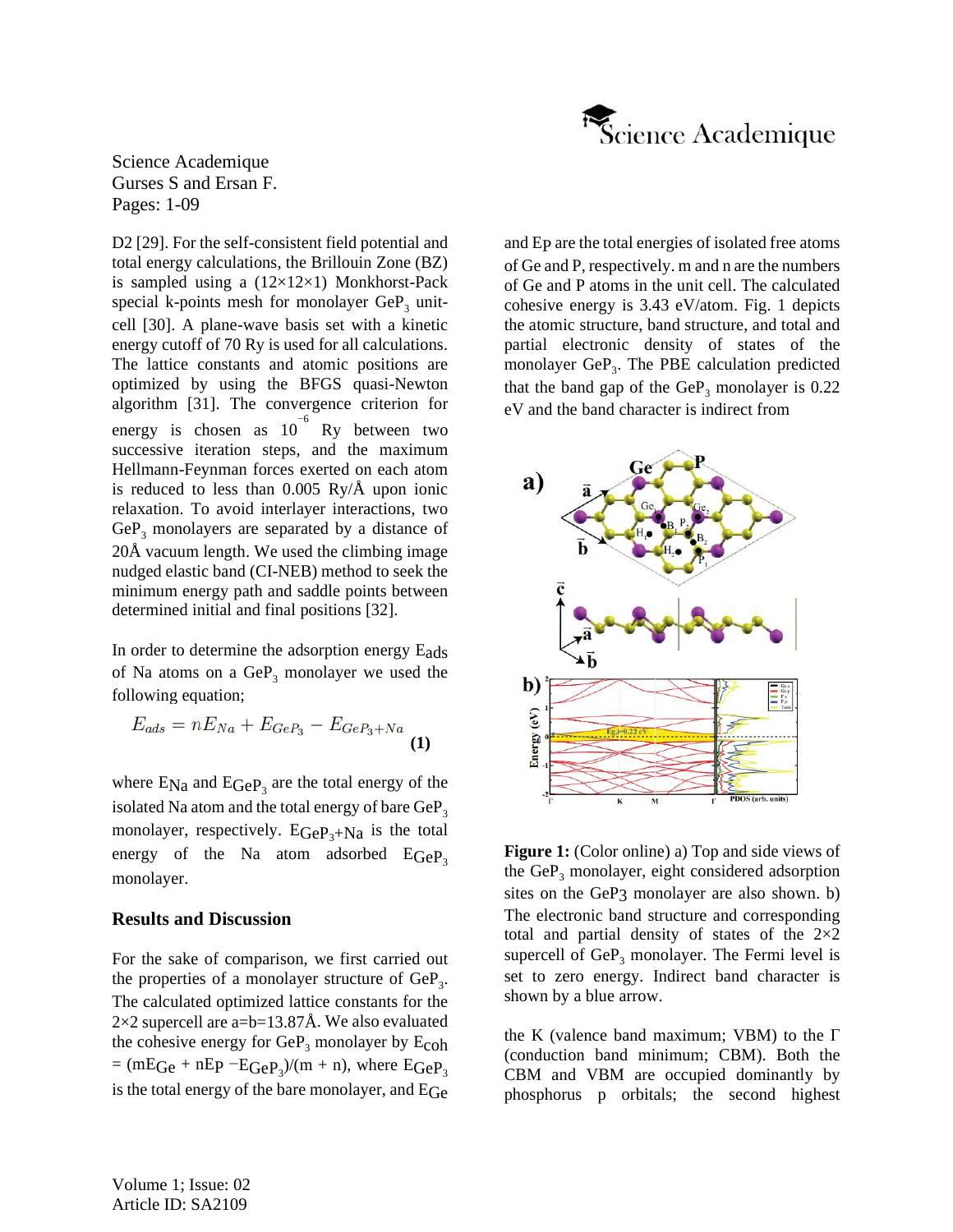

D2 [29]. For the self-consistent field potential and total energy calculations, the Brillouin Zone (BZ) is sampled using a  $(12\times12\times1)$  Monkhorst-Pack special k-points mesh for monolayer  $GeP_3$  unitcell [30]. A plane-wave basis set with a kinetic energy cutoff of 70 Ry is used for all calculations. The lattice constants and atomic positions are optimized by using the BFGS quasi-Newton algorithm [31]. The convergence criterion for energy is chosen as  $10^{-6}$  Ry between two successive iteration steps, and the maximum Hellmann-Feynman forces exerted on each atom is reduced to less than 0.005 Ry/Å upon ionic relaxation. To avoid interlayer interactions, two  $GeP<sub>3</sub>$  monolayers are separated by a distance of 20Å vacuum length. We used the climbing image nudged elastic band (CI-NEB) method to seek the minimum energy path and saddle points between determined initial and final positions [32].

In order to determine the adsorption energy Eads of Na atoms on a  $\text{GeP}_3$  monolayer we used the following equation;

$$
E_{ads} = nE_{Na} + E_{GeP_3} - E_{GeP_3 + Na}
$$
 (1)

where  $E_{Na}$  and  $E_{GeP_3}$  are the total energy of the isolated Na atom and the total energy of bare  $\text{GeP}_3$ monolayer, respectively.  $E_{\text{GeP}_3+{\text{Na}}}$  is the total energy of the Na atom adsorbed  $EGeP_3$ monolayer.

## **Results and Discussion**

For the sake of comparison, we first carried out the properties of a monolayer structure of  $\text{GeP}_3$ . The calculated optimized lattice constants for the  $2\times2$  supercell are a=b=13.87Å. We also evaluated the cohesive energy for  $\text{GeP}_3$  monolayer by  $\text{E}_\text{coh}$  $=$  (mEGe + nEp  $-E$ GeP<sub>3</sub>)/(m + n), where EGeP<sub>3</sub> is the total energy of the bare monolayer, and EGe and EP are the total energies of isolated free atoms of Ge and P, respectively. m and n are the numbers of Ge and P atoms in the unit cell. The calculated cohesive energy is 3.43 eV/atom. Fig. 1 depicts the atomic structure, band structure, and total and partial electronic density of states of the monolayer GeP<sub>3</sub>. The PBE calculation predicted that the band gap of the  $GeP_3$  monolayer is 0.22 eV and the band character is indirect from



**Figure 1:** (Color online) a) Top and side views of the  $GeP_3$  monolayer, eight considered adsorption sites on the GeP3 monolayer are also shown. b) The electronic band structure and corresponding total and partial density of states of the 2×2 supercell of  $GeP_3$  monolayer. The Fermi level is set to zero energy. Indirect band character is shown by a blue arrow.

the K (valence band maximum; VBM) to the  $\Gamma$ (conduction band minimum; CBM). Both the CBM and VBM are occupied dominantly by phosphorus p orbitals; the second highest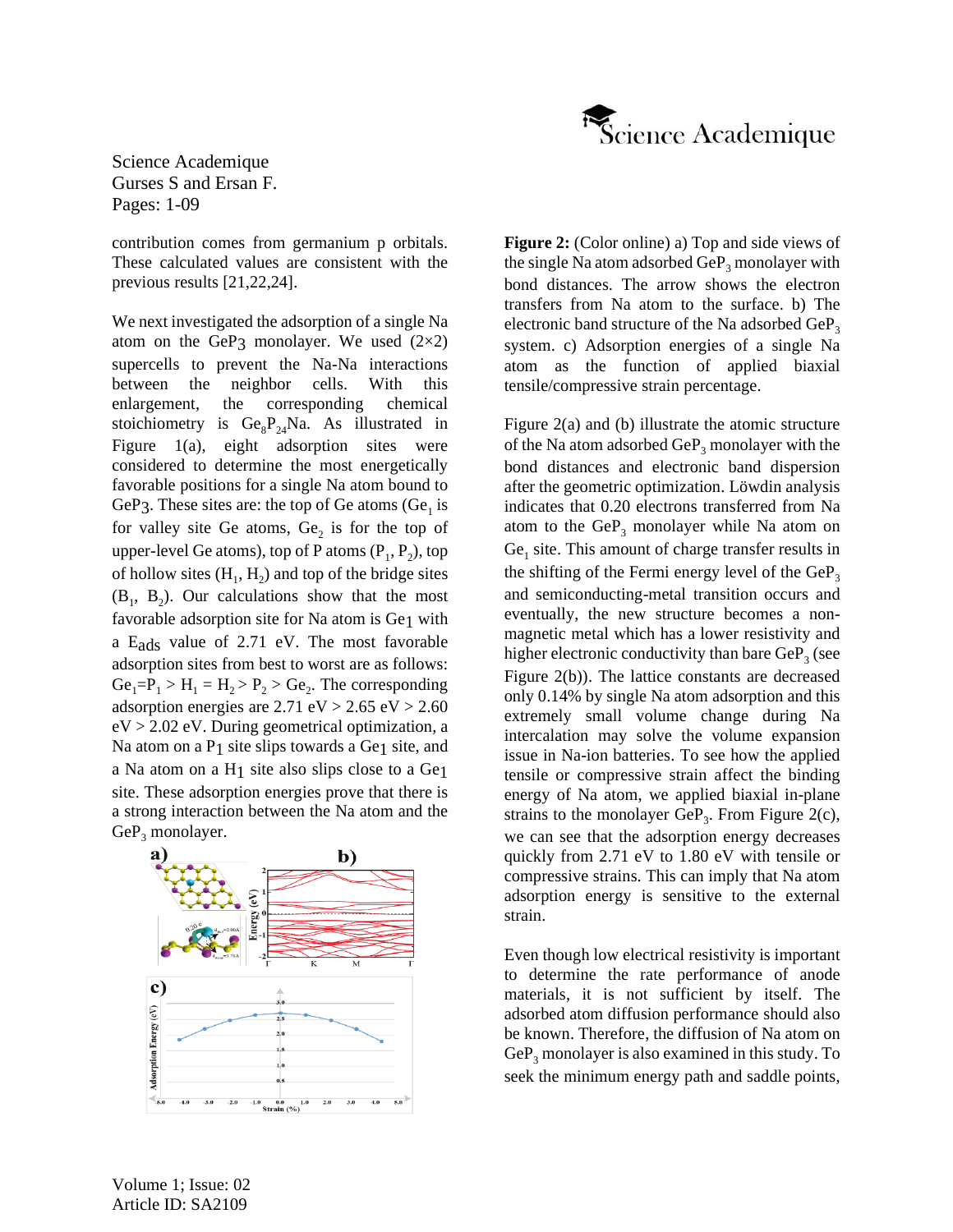

contribution comes from germanium p orbitals. These calculated values are consistent with the previous results [21,22,24].

We next investigated the adsorption of a single Na atom on the GeP3 monolayer. We used  $(2\times2)$ supercells to prevent the Na-Na interactions between the neighbor cells. With this enlargement, the corresponding chemical stoichiometry is  $Ge_8P_{24}Na$ . As illustrated in Figure 1(a), eight adsorption sites were considered to determine the most energetically favorable positions for a single Na atom bound to GeP3. These sites are: the top of Ge atoms  $(Ge<sub>1</sub>$  is for valley site Ge atoms,  $Ge_2$  is for the top of upper-level Ge atoms), top of P atoms  $(P_1, P_2)$ , top of hollow sites  $(H_1, H_2)$  and top of the bridge sites  $(B_1, B_2)$ . Our calculations show that the most favorable adsorption site for Na atom is Ge1 with a Eads value of 2.71 eV. The most favorable adsorption sites from best to worst are as follows:  $Ge_1 = P_1 > H_1 = H_2 > P_2 > Ge_2$ . The corresponding adsorption energies are  $2.71 \text{ eV} > 2.65 \text{ eV} > 2.60$ eV > 2.02 eV. During geometrical optimization, a Na atom on a  $P_1$  site slips towards a Ge<sub>1</sub> site, and a Na atom on a H1 site also slips close to a Ge1 site. These adsorption energies prove that there is a strong interaction between the Na atom and the  $GeP_3$  monolayer.



**Figure 2:** (Color online) a) Top and side views of the single Na atom adsorbed  $\text{GeP}_3$  monolayer with bond distances. The arrow shows the electron transfers from Na atom to the surface. b) The electronic band structure of the Na adsorbed  $\text{GeP}_3$ system. c) Adsorption energies of a single Na atom as the function of applied biaxial tensile/compressive strain percentage.

Figure 2(a) and (b) illustrate the atomic structure of the Na atom adsorbed  $\text{GeP}_3$  monolayer with the bond distances and electronic band dispersion after the geometric optimization. Löwdin analysis indicates that 0.20 electrons transferred from Na atom to the  $GeP_3$  monolayer while Na atom on Ge<sub>1</sub> site. This amount of charge transfer results in the shifting of the Fermi energy level of the  $GeP_3$ and semiconducting-metal transition occurs and eventually, the new structure becomes a nonmagnetic metal which has a lower resistivity and higher electronic conductivity than bare  $\mathrm{GeP}_3$  (see Figure 2(b)). The lattice constants are decreased only 0.14% by single Na atom adsorption and this extremely small volume change during Na intercalation may solve the volume expansion issue in Na-ion batteries. To see how the applied tensile or compressive strain affect the binding energy of Na atom, we applied biaxial in-plane strains to the monolayer  $\text{GeP}_3$ . From Figure 2(c), we can see that the adsorption energy decreases quickly from 2.71 eV to 1.80 eV with tensile or compressive strains. This can imply that Na atom adsorption energy is sensitive to the external strain.

Even though low electrical resistivity is important to determine the rate performance of anode materials, it is not sufficient by itself. The adsorbed atom diffusion performance should also be known. Therefore, the diffusion of Na atom on  $GeP<sub>3</sub>$  monolayer is also examined in this study. To seek the minimum energy path and saddle points,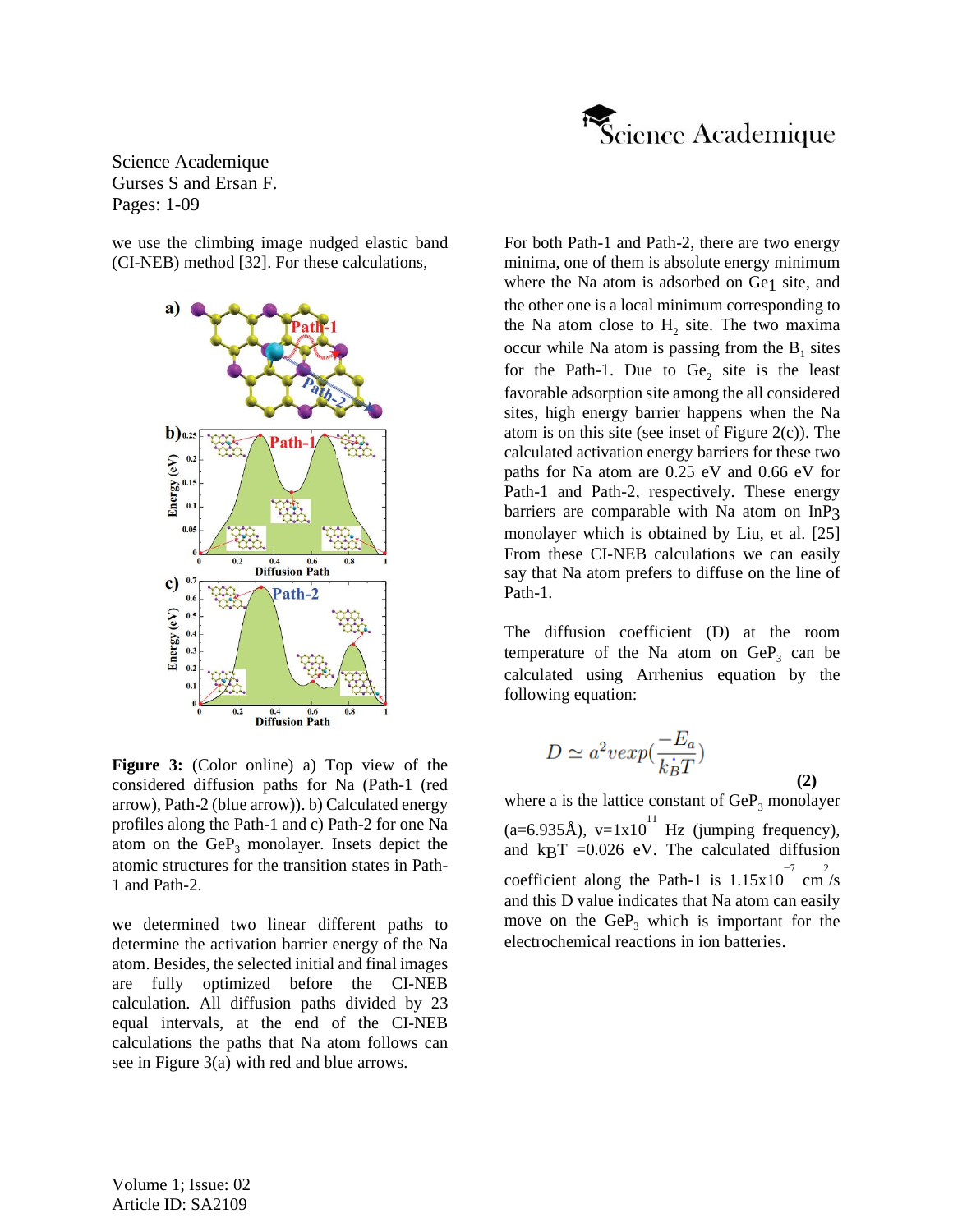

we use the climbing image nudged elastic band (CI-NEB) method [32]. For these calculations,



**Figure 3:** (Color online) a) Top view of the considered diffusion paths for Na (Path-1 (red arrow), Path-2 (blue arrow)). b) Calculated energy profiles along the Path-1 and c) Path-2 for one Na atom on the  $GeP_3$  monolayer. Insets depict the atomic structures for the transition states in Path-1 and Path-2.

we determined two linear different paths to determine the activation barrier energy of the Na atom. Besides, the selected initial and final images are fully optimized before the CI-NEB calculation. All diffusion paths divided by 23 equal intervals, at the end of the CI-NEB calculations the paths that Na atom follows can see in Figure 3(a) with red and blue arrows.

For both Path-1 and Path-2, there are two energy minima, one of them is absolute energy minimum where the Na atom is adsorbed on Ge1 site, and the other one is a local minimum corresponding to the Na atom close to  $H_2$  site. The two maxima occur while Na atom is passing from the  $B_1$  sites for the Path-1. Due to  $Ge_2$  site is the least favorable adsorption site among the all considered sites, high energy barrier happens when the Na atom is on this site (see inset of Figure  $2(c)$ ). The calculated activation energy barriers for these two paths for Na atom are 0.25 eV and 0.66 eV for Path-1 and Path-2, respectively. These energy barriers are comparable with Na atom on InP3 monolayer which is obtained by Liu, et al. [25] From these CI-NEB calculations we can easily say that Na atom prefers to diffuse on the line of Path-1.

The diffusion coefficient (D) at the room temperature of the Na atom on  $\text{GeP}_3$  can be calculated using Arrhenius equation by the following equation:

$$
D \simeq a^2 \nu \exp(\frac{-E_a}{k_B T})
$$
\n(2)

where a is the lattice constant of  $GeP_3$  monolayer  $(a=6.935\text{\AA})$ , v=1x10<sup>11</sup> Hz (jumping frequency), and  $k\text{B}T = 0.026$  eV. The calculated diffusion coefficient along the Path-1 is  $1.15 \times 10^{-7}$  cm<sup>2</sup>/s and this D value indicates that Na atom can easily move on the  $GeP_3$  which is important for the electrochemical reactions in ion batteries.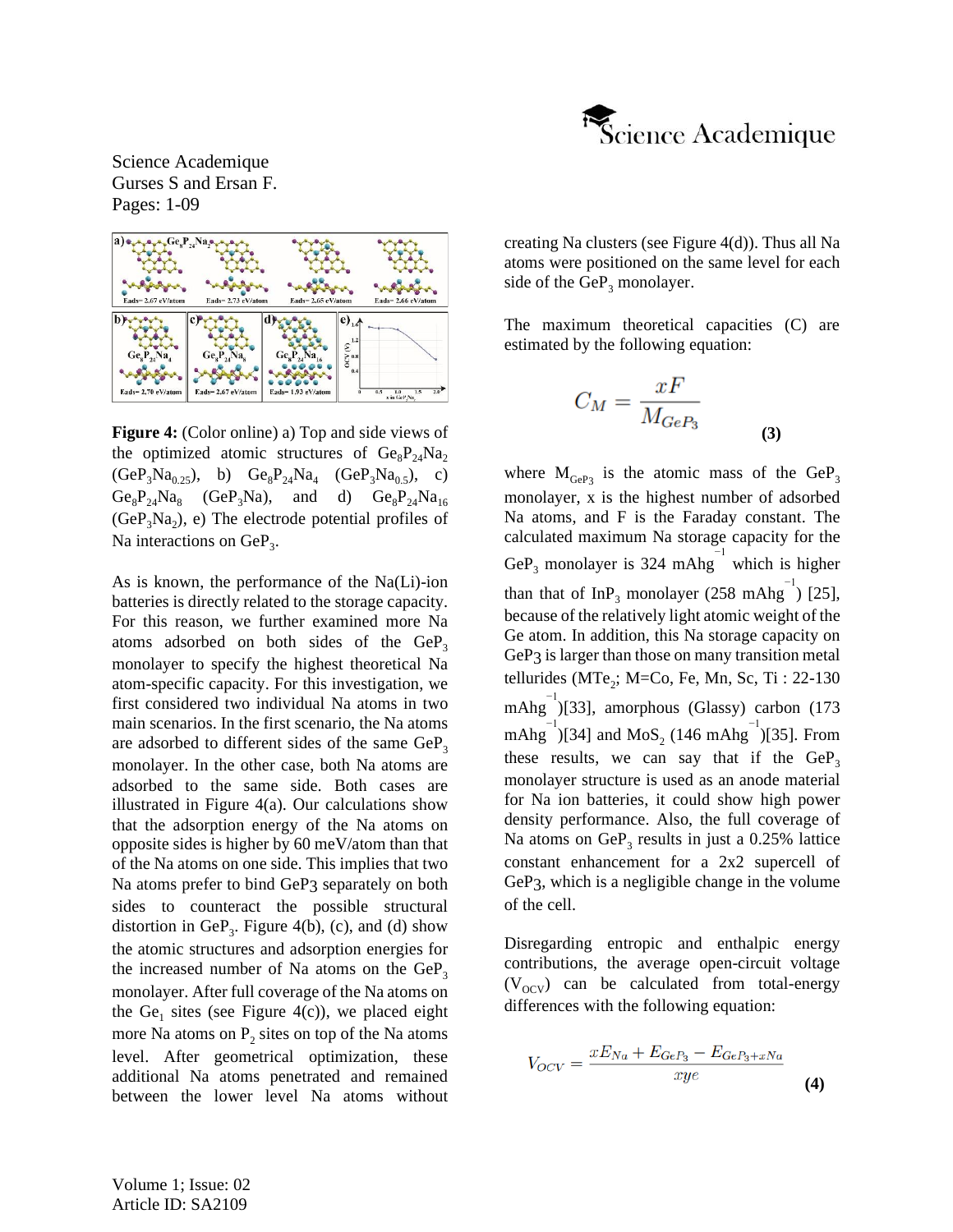



**Figure 4:** (Color online) a) Top and side views of the optimized atomic structures of  $Ge_8P_{24}Na_2$  $(GeP_3Na_{0.25})$ , b)  $Ge_8P_{24}Na_4$   $(GeP_3Na_{0.5})$ , c)  $Ge_8P_{24}Na_8$  (GeP<sub>3</sub>Na), and d)  $Ge_8P_{24}Na_{16}$  $(GeP<sub>3</sub>Na<sub>2</sub>)$ , e) The electrode potential profiles of Na interactions on  $\text{GeP}_3$ .

As is known, the performance of the Na(Li)-ion batteries is directly related to the storage capacity. For this reason, we further examined more Na atoms adsorbed on both sides of the  $GeP_3$ monolayer to specify the highest theoretical Na atom-specific capacity. For this investigation, we first considered two individual Na atoms in two main scenarios. In the first scenario, the Na atoms are adsorbed to different sides of the same  $GeP_3$ monolayer. In the other case, both Na atoms are adsorbed to the same side. Both cases are illustrated in Figure 4(a). Our calculations show that the adsorption energy of the Na atoms on opposite sides is higher by 60 meV/atom than that of the Na atoms on one side. This implies that two Na atoms prefer to bind GeP3 separately on both sides to counteract the possible structural distortion in  $GeP_3$ . Figure 4(b), (c), and (d) show the atomic structures and adsorption energies for the increased number of Na atoms on the  $GeP<sub>2</sub>$ monolayer. After full coverage of the Na atoms on the  $Ge_1$  sites (see Figure 4(c)), we placed eight more Na atoms on  $P_2$  sites on top of the Na atoms level. After geometrical optimization, these additional Na atoms penetrated and remained between the lower level Na atoms without creating Na clusters (see Figure 4(d)). Thus all Na atoms were positioned on the same level for each side of the  $GeP_3$  monolayer.

The maximum theoretical capacities (C) are estimated by the following equation:

$$
C_M = \frac{xF}{M_{GeP_3}}
$$

**(3)**

where  $M_{\text{GeP}_3}$  is the atomic mass of the  $\text{GeP}_3$ monolayer, x is the highest number of adsorbed Na atoms, and F is the Faraday constant. The calculated maximum Na storage capacity for the GeP<sub>3</sub> monolayer is 324 mAhg<sup>-1</sup> which is higher than that of InP<sub>3</sub> monolayer (258 mAhg<sup>-1</sup>) [25], because of the relatively light atomic weight of the Ge atom. In addition, this Na storage capacity on GeP<sub>3</sub> is larger than those on many transition metal tellurides (MTe<sub>2</sub>; M=Co, Fe, Mn, Sc, Ti : 22-130 mAhg −1 )[33], amorphous (Glassy) carbon (173 mAhg<sup>-1</sup>)[34] and MoS<sub>2</sub> (146 mAhg<sup>-1</sup>)[35]. From these results, we can say that if the  $GeP_3$ monolayer structure is used as an anode material for Na ion batteries, it could show high power density performance. Also, the full coverage of Na atoms on  $\text{GeP}_3$  results in just a 0.25% lattice constant enhancement for a 2x2 supercell of GeP3, which is a negligible change in the volume of the cell.

Disregarding entropic and enthalpic energy contributions, the average open-circuit voltage  $(V<sub>OCV</sub>)$  can be calculated from total-energy differences with the following equation:

$$
V_{OCV} = \frac{xE_{Na} + E_{GeP_3} - E_{GeP_3 + xNa}}{xye}
$$
 (4)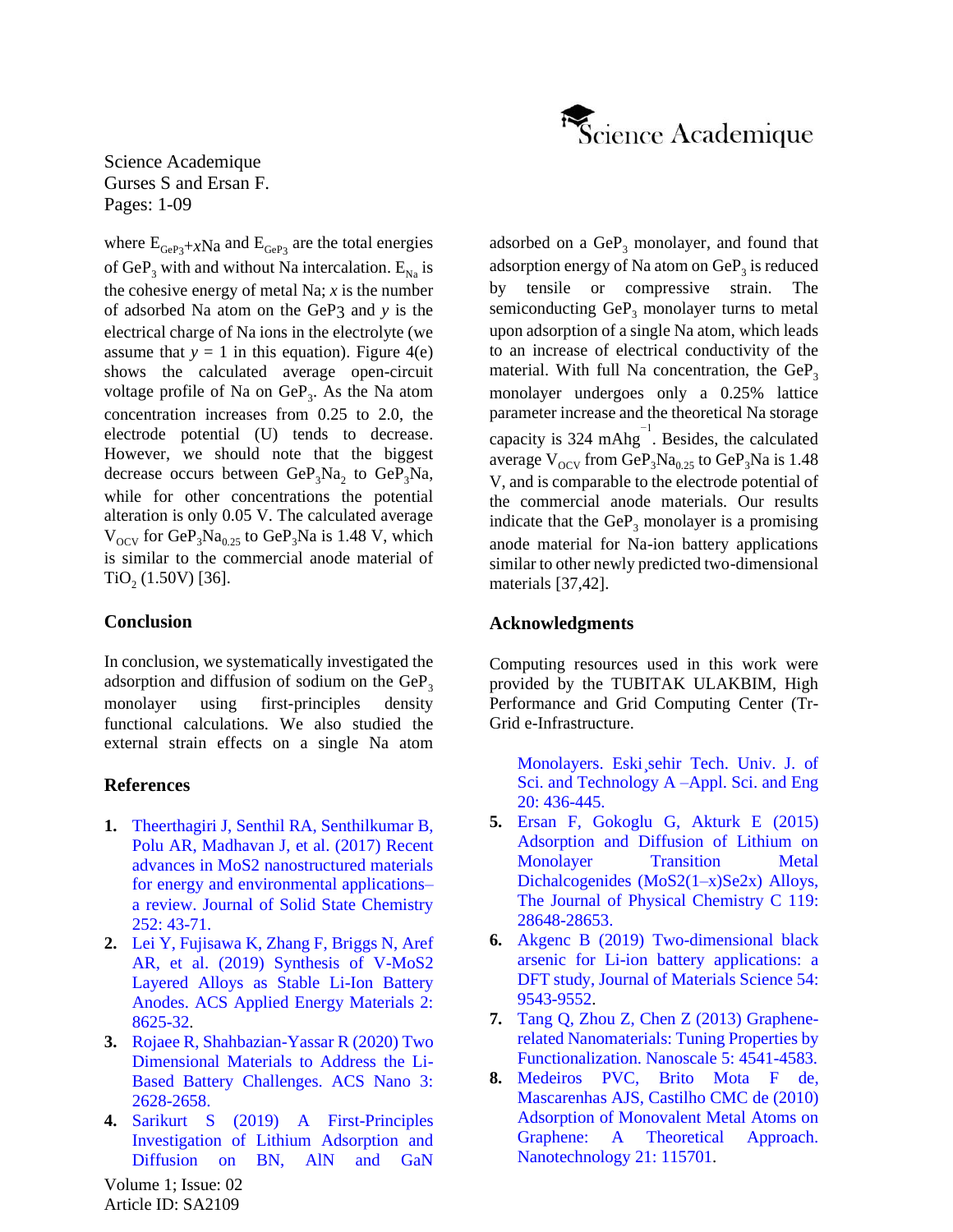

where  $E_{\text{GeP3}}+x\text{Na}$  and  $E_{\text{GeP3}}$  are the total energies of GeP<sub>3</sub> with and without Na intercalation.  $E_{N_a}$  is the cohesive energy of metal Na;  $x$  is the number of adsorbed Na atom on the GeP3 and *y* is the electrical charge of Na ions in the electrolyte (we assume that  $y = 1$  in this equation). Figure 4(e) shows the calculated average open-circuit voltage profile of Na on  $\text{GeP}_3$ . As the Na atom concentration increases from 0.25 to 2.0, the electrode potential (U) tends to decrease. However, we should note that the biggest decrease occurs between  $\text{GeP}_3\text{Na}_2$  to  $\text{GeP}_3\text{Na}$ , while for other concentrations the potential alteration is only 0.05 V. The calculated average  $V_{\text{OCV}}$  for GeP<sub>3</sub>Na<sub>0.25</sub> to GeP<sub>3</sub>Na is 1.48 V, which is similar to the commercial anode material of  $TiO<sub>2</sub>$  (1.50V) [36].

## **Conclusion**

In conclusion, we systematically investigated the adsorption and diffusion of sodium on the  $GeP_3$ monolayer using first-principles density functional calculations. We also studied the external strain effects on a single Na atom

## **References**

- **1.** [Theerthagiri J, Senthil RA, Senthilkumar B,](https://www.sciencedirect.com/science/article/abs/pii/S0022459617301597)  [Polu AR, Madhavan J, et al. \(2017\) Recent](https://www.sciencedirect.com/science/article/abs/pii/S0022459617301597)  [advances in MoS2 nanostructured materials](https://www.sciencedirect.com/science/article/abs/pii/S0022459617301597)  [for energy and environmental applications–](https://www.sciencedirect.com/science/article/abs/pii/S0022459617301597) [a review. Journal of Solid State Chemistry](https://www.sciencedirect.com/science/article/abs/pii/S0022459617301597) 252: [43-71.](https://www.sciencedirect.com/science/article/abs/pii/S0022459617301597)
- **2.** [Lei Y, Fujisawa K, Zhang F, Briggs N, Aref](https://pubs.acs.org/doi/abs/10.1021/acsaem.9b01528) AR, et al. (2019) [Synthesis of V-MoS2](https://pubs.acs.org/doi/abs/10.1021/acsaem.9b01528)  [Layered Alloys as Stable Li-Ion Battery](https://pubs.acs.org/doi/abs/10.1021/acsaem.9b01528)  [Anodes. ACS Applied Energy Materials](https://pubs.acs.org/doi/abs/10.1021/acsaem.9b01528) 2: [8625-32.](https://pubs.acs.org/doi/abs/10.1021/acsaem.9b01528)
- **3.** [Rojaee R, Shahbazian-Yassar R](https://pubs.acs.org/doi/abs/10.1021/acsnano.9b08396) (2020) Two [Dimensional Materials to Address the Li-](https://pubs.acs.org/doi/abs/10.1021/acsnano.9b08396)Based Battery [Challenges. ACS Nano 3:](https://pubs.acs.org/doi/abs/10.1021/acsnano.9b08396) [2628-2658.](https://pubs.acs.org/doi/abs/10.1021/acsnano.9b08396)
- **4.** Sarikurt S (2019) [A First-Principles](https://dergipark.org.tr/en/download/article-file/908710)  [Investigation of Lithium Adsorption and](https://dergipark.org.tr/en/download/article-file/908710)  [Diffusion on BN, AlN and GaN](https://dergipark.org.tr/en/download/article-file/908710)

adsorbed on a  $GeP_3$  monolayer, and found that adsorption energy of Na atom on  $\mathrm{GeP}_3$  is reduced by tensile or compressive strain. The semiconducting  $GeP_3$  monolayer turns to metal upon adsorption of a single Na atom, which leads to an increase of electrical conductivity of the material. With full Na concentration, the  $GeP<sub>3</sub>$ monolayer undergoes only a 0.25% lattice parameter increase and the theoretical Na storage capacity is 324 mAhg $^{-1}$ . Besides, the calculated average  $V_{\text{OCV}}$  from  $\overline{\text{GeP}_3\text{Na}_{0.25}}$  to  $\overline{\text{GeP}_3\text{Na}}$  is 1.48 V, and is comparable to the electrode potential of the commercial anode materials. Our results indicate that the  $GeP_3$  monolayer is a promising anode material for Na-ion battery applications similar to other newly predicted two-dimensional materials [37,42].

# **Acknowledgments**

Computing resources used in this work were provided by the TUBITAK ULAKBIM, High Performance and Grid Computing Center (Tr-Grid e-Infrastructure.

[Monolayers. Eski¸sehir Tech. Univ. J. of](https://dergipark.org.tr/en/download/article-file/908710)  [Sci. and Technology A –Appl. Sci. and Eng](https://dergipark.org.tr/en/download/article-file/908710) 20: [436-445.](https://dergipark.org.tr/en/download/article-file/908710)

- **5.** [Ersan F, Gokoglu](https://pubs.acs.org/doi/abs/10.1021/acs.jpcc.5b09034) G, Akturk E (2015) [Adsorption and Diffusion of Lithium on](https://pubs.acs.org/doi/abs/10.1021/acs.jpcc.5b09034)  Monolayer Transition Metal [Dichalcogenides \(MoS2\(1–x\)Se2x\) Alloys,](https://pubs.acs.org/doi/abs/10.1021/acs.jpcc.5b09034)  [The Journal of Physical Chemistry C 119:](https://pubs.acs.org/doi/abs/10.1021/acs.jpcc.5b09034) [28648-28653.](https://pubs.acs.org/doi/abs/10.1021/acs.jpcc.5b09034)
- **6.** Akgenc B [\(2019\) Two-dimensional black](https://link.springer.com/article/10.1007/s10853-019-03597-3)  [arsenic for Li-ion battery applications: a](https://link.springer.com/article/10.1007/s10853-019-03597-3)  [DFT study, Journal of Materials Science 54:](https://link.springer.com/article/10.1007/s10853-019-03597-3) [9543-9552.](https://link.springer.com/article/10.1007/s10853-019-03597-3)
- **7.** Tang Q, Zhou Z, Chen Z [\(2013\) Graphene](https://pubs.rsc.org/en/content/articlelanding/2013/nr/c3nr33218g#!divAbstract)[related Nanomaterials: Tuning Properties by](https://pubs.rsc.org/en/content/articlelanding/2013/nr/c3nr33218g#!divAbstract) [Functionalization. Nanoscale 5:](https://pubs.rsc.org/en/content/articlelanding/2013/nr/c3nr33218g#!divAbstract) 4541-4583.
- **8.** [Medeiros PVC, Brito Mota](https://www.researchgate.net/publication/41509972_Adsorption_of_monovalent_metal_atoms_on_graphene_A_theoretical_approach) F de, Mascarenhas [AJS, Castilho](https://www.researchgate.net/publication/41509972_Adsorption_of_monovalent_metal_atoms_on_graphene_A_theoretical_approach) CMC de (2010) [Adsorption of Monovalent Metal Atoms on](https://www.researchgate.net/publication/41509972_Adsorption_of_monovalent_metal_atoms_on_graphene_A_theoretical_approach)  [Graphene: A Theoretical Approach.](https://www.researchgate.net/publication/41509972_Adsorption_of_monovalent_metal_atoms_on_graphene_A_theoretical_approach)  [Nanotechnology 21:](https://www.researchgate.net/publication/41509972_Adsorption_of_monovalent_metal_atoms_on_graphene_A_theoretical_approach) 115701.

Volume 1; Issue: 02 Article ID: SA2109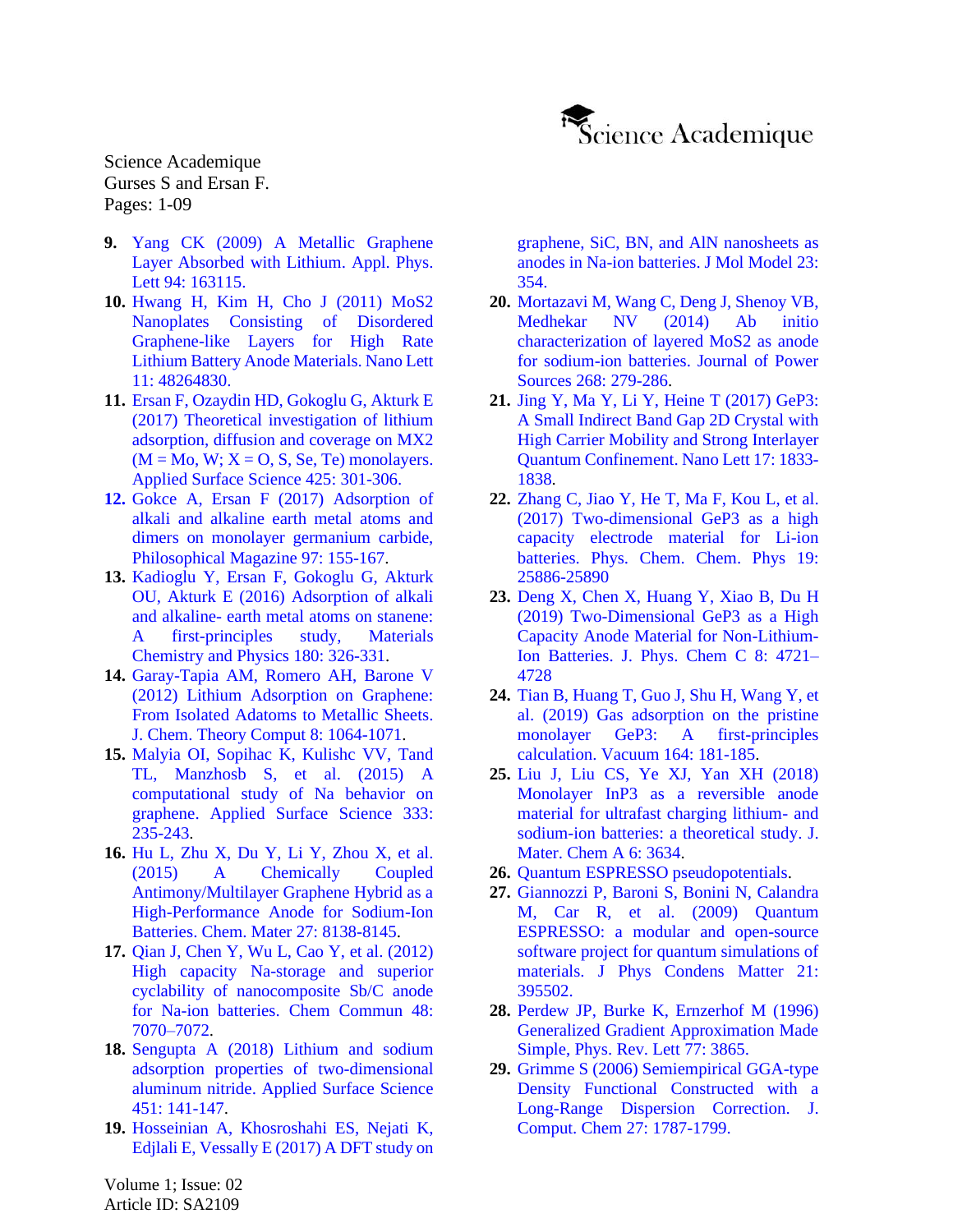

- **9.** Yang CK [\(2009\) A Metallic Graphene](https://aip.scitation.org/doi/10.1063/1.3194145)  [Layer Absorbed with Lithium. Appl. Phys.](https://aip.scitation.org/doi/10.1063/1.3194145)  Lett 94: [163115.](https://aip.scitation.org/doi/10.1063/1.3194145)
- **10.** Hwang H, Kim H, Cho J [\(2011\) MoS2](https://pubs.acs.org/doi/10.1021/nl202675f)  [Nanoplates Consisting of Disordered](https://pubs.acs.org/doi/10.1021/nl202675f)  [Graphene-like Layers for High Rate](https://pubs.acs.org/doi/10.1021/nl202675f)  [Lithium Battery Anode Materials. Nano Lett](https://pubs.acs.org/doi/10.1021/nl202675f) 11: [48264830.](https://pubs.acs.org/doi/10.1021/nl202675f)
- **11.** Ersan F, Ozaydin [HD, Gokoglu](https://www.sciencedirect.com/science/article/abs/pii/S0169433217319931) G, Akturk E (2017) [Theoretical investigation of lithium](https://www.sciencedirect.com/science/article/abs/pii/S0169433217319931)  [adsorption, diffusion and coverage on MX2](https://www.sciencedirect.com/science/article/abs/pii/S0169433217319931)   $(M = Mo, W; X = O, S, Se, Te)$  monolayers. [Applied Surface Science 425: 301-306.](https://www.sciencedirect.com/science/article/abs/pii/S0169433217319931)
- **12.** Gokce A, Ersan F (2017) [Adsorption of](https://www.tandfonline.com/doi/abs/10.1080/14786435.2016.1248517)  [alkali and alkaline earth metal atoms and](https://www.tandfonline.com/doi/abs/10.1080/14786435.2016.1248517)  [dimers on monolayer germanium carbide,](https://www.tandfonline.com/doi/abs/10.1080/14786435.2016.1248517)  [Philosophical Magazine](https://www.tandfonline.com/doi/abs/10.1080/14786435.2016.1248517) 97: 155-167[.](https://www.sciencedirect.com/science/article/abs/pii/S025405841630428X)
- **13.** Kadioglu Y, Ersan [F, Gokoglu](https://www.sciencedirect.com/science/article/abs/pii/S025405841630428X) G, Akturk OU, Akturk E (2016) [Adsorption of alkali](https://www.sciencedirect.com/science/article/abs/pii/S025405841630428X)  and alkaline- [earth metal atoms on stanene:](https://www.sciencedirect.com/science/article/abs/pii/S025405841630428X)  [A first-principles study, Materials](https://www.sciencedirect.com/science/article/abs/pii/S025405841630428X)  [Chemistry and Physics](https://www.sciencedirect.com/science/article/abs/pii/S025405841630428X) 180: 326-331.
- **14.** Garay-Tapia [AM, Romero](https://pubs.acs.org/doi/10.1021/ct300042p) AH, Barone V [\(2012\) Lithium Adsorption on Graphene:](https://pubs.acs.org/doi/10.1021/ct300042p)  [From Isolated Adatoms to Metallic Sheets.](https://pubs.acs.org/doi/10.1021/ct300042p) [J. Chem. Theory Comput](https://pubs.acs.org/doi/10.1021/ct300042p) 8: 1064-1071.
- **15.** Malyia [OI, Sopihac](https://www.sciencedirect.com/science/article/abs/pii/S0169433215002986) K, Kulishc VV, Tand TL, Manzhosb [S, et al. \(2015\) A](https://www.sciencedirect.com/science/article/abs/pii/S0169433215002986)  [computational study of Na behavior on](https://www.sciencedirect.com/science/article/abs/pii/S0169433215002986)  graphene. [Applied Surface Science 333:](https://www.sciencedirect.com/science/article/abs/pii/S0169433215002986)  [235-243.](https://www.sciencedirect.com/science/article/abs/pii/S0169433215002986)
- **16.** Hu L, Zhu X, Du Y, Li Y, Zhou [X, et al.](https://pubs.acs.org/doi/10.1021/acs.chemmater.5b03920)  [\(2015\) A Chemically Coupled](https://pubs.acs.org/doi/10.1021/acs.chemmater.5b03920)  [Antimony/Multilayer Graphene Hybrid as a](https://pubs.acs.org/doi/10.1021/acs.chemmater.5b03920)  [High-Performance Anode for Sodium-Ion](https://pubs.acs.org/doi/10.1021/acs.chemmater.5b03920)  Batteries. [Chem. Mater](https://pubs.acs.org/doi/10.1021/acs.chemmater.5b03920) 27: 8138-8145.
- **17.** Qian J, Chen Y, Wu L, Cao [Y, et al. \(2012\)](https://pubs.rsc.org/en/content/articlelanding/2012/cc/c2cc32730a#!divAbstract) High capacity [Na-storage and superior](https://pubs.rsc.org/en/content/articlelanding/2012/cc/c2cc32730a#!divAbstract)  [cyclability of nanocomposite Sb/C anode](https://pubs.rsc.org/en/content/articlelanding/2012/cc/c2cc32730a#!divAbstract)  [for Na-ion batteries.](https://pubs.rsc.org/en/content/articlelanding/2012/cc/c2cc32730a#!divAbstract) Chem Commun 48: [7070–7072.](https://pubs.rsc.org/en/content/articlelanding/2012/cc/c2cc32730a#!divAbstract)
- **18.** Sengupta [A \(2018\) Lithium and sodium](https://www.sciencedirect.com/science/article/abs/pii/S0169433218312625)  [adsorption properties of two-dimensional](https://www.sciencedirect.com/science/article/abs/pii/S0169433218312625)  aluminum nitride. [Applied Surface Science](https://www.sciencedirect.com/science/article/abs/pii/S0169433218312625)  451: [141-147.](https://www.sciencedirect.com/science/article/abs/pii/S0169433218312625)
- **19.** Hosseinian [A, Khosroshahi](https://pubmed.ncbi.nlm.nih.gov/29177629/) ES, Nejati K, Edjlali E, Vessally E (2017) [A DFT study on](https://pubmed.ncbi.nlm.nih.gov/29177629/)

[graphene, SiC, BN, and AlN](https://pubmed.ncbi.nlm.nih.gov/29177629/) nanosheets as [anodes in Na-ion batteries.](https://pubmed.ncbi.nlm.nih.gov/29177629/) J Mol Model 23: [354.](https://pubmed.ncbi.nlm.nih.gov/29177629/)

- **20.** [Mortazavi](https://www.sciencedirect.com/science/article/abs/pii/S0378775314009033) M, Wang C, Deng J, Shenoy VB, Medhekar [NV \(2014\)](https://www.sciencedirect.com/science/article/abs/pii/S0378775314009033) Ab initio [characterization of layered MoS2 as](https://www.sciencedirect.com/science/article/abs/pii/S0378775314009033) anode [for sodium-ion batteries.](https://www.sciencedirect.com/science/article/abs/pii/S0378775314009033) Journal of Power Sources 268: [279-286.](https://www.sciencedirect.com/science/article/abs/pii/S0378775314009033)
- **21.** Jing Y, Ma Y, Li [Y, Heine](https://pubs.acs.org/doi/10.1021/acs.nanolett.6b05143) T (2017) GeP3: [A Small Indirect Band Gap 2D Crystal with](https://pubs.acs.org/doi/10.1021/acs.nanolett.6b05143)  [High Carrier Mobility and Strong Interlayer](https://pubs.acs.org/doi/10.1021/acs.nanolett.6b05143)  [Quantum Confinement.](https://pubs.acs.org/doi/10.1021/acs.nanolett.6b05143) Nano Lett 17: 1833- [1838.](https://pubs.acs.org/doi/10.1021/acs.nanolett.6b05143)
- **22.** Zhang C, Jiao Y, He T, Ma F, Kou [L, et al.](https://pubs.rsc.org/en/content/articlelanding/2017/cp/c7cp04758d#!divAbstract)  (2017) [Two-dimensional GeP3 as a high](https://pubs.rsc.org/en/content/articlelanding/2017/cp/c7cp04758d#!divAbstract)  [capacity electrode material for Li-ion](https://pubs.rsc.org/en/content/articlelanding/2017/cp/c7cp04758d#!divAbstract)  batteries. [Phys. Chem. Chem. Phys](https://pubs.rsc.org/en/content/articlelanding/2017/cp/c7cp04758d#!divAbstract) 19: [25886-25890](https://pubs.rsc.org/en/content/articlelanding/2017/cp/c7cp04758d#!divAbstract)
- **23.** Deng X, Chen [X, Huang](https://pubs.acs.org/doi/10.1021/acs.jpcc.8b11574) Y, Xiao B, Du H (2019) [Two-Dimensional GeP3 as a High](https://pubs.acs.org/doi/10.1021/acs.jpcc.8b11574)  [Capacity Anode Material for Non-Lithium-](https://pubs.acs.org/doi/10.1021/acs.jpcc.8b11574)Ion Batteries. [J. Phys. Chem](https://pubs.acs.org/doi/10.1021/acs.jpcc.8b11574) C 8: 4721– [4728](https://pubs.acs.org/doi/10.1021/acs.jpcc.8b11574)
- **24.** Tian [B, Huang](https://www.sciencedirect.com/science/article/abs/pii/S0042207X18323923) T, Guo J, Shu H, Wang Y, et [al. \(2019\) Gas adsorption on the pristine](https://www.sciencedirect.com/science/article/abs/pii/S0042207X18323923)  [monolayer GeP3: A first-principles](https://www.sciencedirect.com/science/article/abs/pii/S0042207X18323923)  calculation. Vacuum [164: 181-185.](https://www.sciencedirect.com/science/article/abs/pii/S0042207X18323923)
- **25.** Liu J, Liu CS, Ye XJ, Yan [XH \(2018\)](https://pubs.rsc.org/en/content/articlelanding/2018/ta/c7ta10248h#!divAbstract) [Monolayer InP3 as a reversible anode](https://pubs.rsc.org/en/content/articlelanding/2018/ta/c7ta10248h#!divAbstract)  [material for ultrafast charging lithium-](https://pubs.rsc.org/en/content/articlelanding/2018/ta/c7ta10248h#!divAbstract) and [sodium-ion batteries: a theoretical study. J.](https://pubs.rsc.org/en/content/articlelanding/2018/ta/c7ta10248h#!divAbstract)  [Mater. Chem A](https://pubs.rsc.org/en/content/articlelanding/2018/ta/c7ta10248h#!divAbstract) 6: 3634.
- **26.** [Quantum ESPRESSO pseudopotentials.](http://www.quantum-espresso.org/pseudopotentials)
- **27.** Giannozzi P, Baroni S, Bonini [N, Calandra](https://iopscience.iop.org/article/10.1088/0953-8984/21/39/395502/meta) M, Car [R, et al. \(2009\) Quantum](https://iopscience.iop.org/article/10.1088/0953-8984/21/39/395502/meta)  [ESPRESSO: a modular and open-source](https://iopscience.iop.org/article/10.1088/0953-8984/21/39/395502/meta)  [software project for quantum simulations of](https://iopscience.iop.org/article/10.1088/0953-8984/21/39/395502/meta)  [materials.](https://iopscience.iop.org/article/10.1088/0953-8984/21/39/395502/meta) J Phys Condens Matter 21: [395502.](https://iopscience.iop.org/article/10.1088/0953-8984/21/39/395502/meta)
- **28.** Perdew JP, Burke [K, Ernzerhof](https://journals.aps.org/prl/abstract/10.1103/PhysRevLett.77.3865) M (1996) [Generalized Gradient Approximation Made](https://journals.aps.org/prl/abstract/10.1103/PhysRevLett.77.3865)  [Simple, Phys. Rev. Lett](https://journals.aps.org/prl/abstract/10.1103/PhysRevLett.77.3865) 77: 3865.
- **29.** Grimme [S \(2006\) Semiempirical GGA-type](https://onlinelibrary.wiley.com/doi/abs/10.1002/jcc.20495)  [Density Functional Constructed with a](https://onlinelibrary.wiley.com/doi/abs/10.1002/jcc.20495)  Long-Range [Dispersion Correction.](https://onlinelibrary.wiley.com/doi/abs/10.1002/jcc.20495) J. [Comput. Chem](https://onlinelibrary.wiley.com/doi/abs/10.1002/jcc.20495) 27: 1787-1799.

Volume 1; Issue: 02 Article ID: SA2109